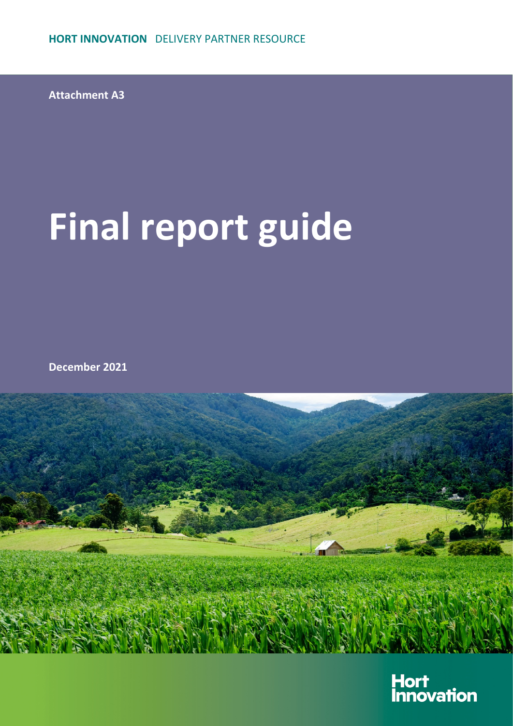**Attachment A3**

# **Final report guide**

**December 2021**



Hort<br>Innovation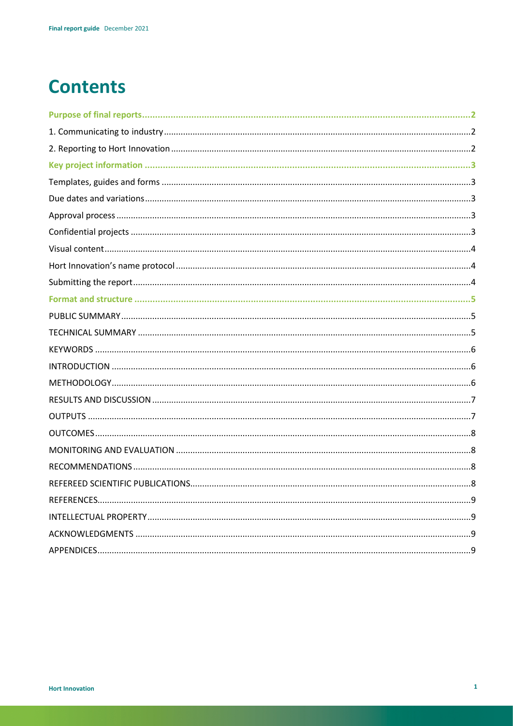# **Contents**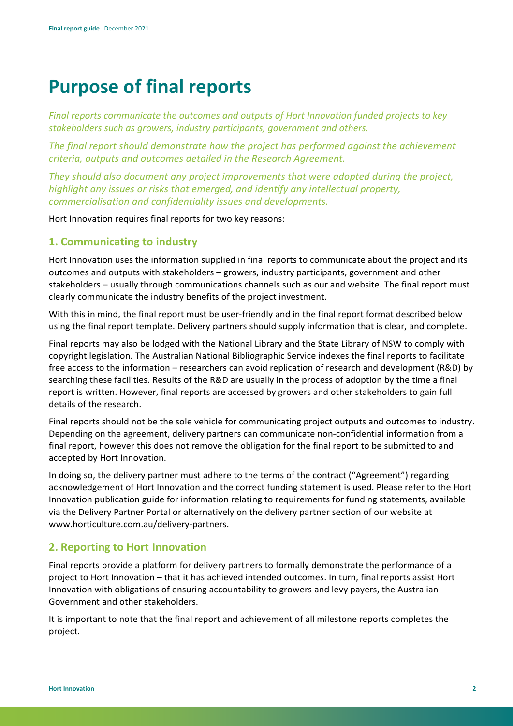# **Purpose of final reports**

*Final reports communicate the outcomes and outputs of Hort Innovation funded projects to key stakeholders such as growers, industry participants, government and others.*

*The final report should demonstrate how the project has performed against the achievement criteria, outputs and outcomes detailed in the Research Agreement.*

*They should also document any project improvements that were adopted during the project, highlight any issues or risks that emerged, and identify any intellectual property, commercialisation and confidentiality issues and developments.*

Hort Innovation requires final reports for two key reasons:

# **1. Communicating to industry**

Hort Innovation uses the information supplied in final reports to communicate about the project and its outcomes and outputs with stakeholders – growers, industry participants, government and other stakeholders – usually through communications channels such as our and website. The final report must clearly communicate the industry benefits of the project investment.

With this in mind, the final report must be user-friendly and in the final report format described below using the final report template. Delivery partners should supply information that is clear, and complete.

Final reports may also be lodged with the National Library and the State Library of NSW to comply with copyright legislation. The Australian National Bibliographic Service indexes the final reports to facilitate free access to the information – researchers can avoid replication of research and development (R&D) by searching these facilities. Results of the R&D are usually in the process of adoption by the time a final report is written. However, final reports are accessed by growers and other stakeholders to gain full details of the research.

Final reports should not be the sole vehicle for communicating project outputs and outcomes to industry. Depending on the agreement, delivery partners can communicate non-confidential information from a final report, however this does not remove the obligation for the final report to be submitted to and accepted by Hort Innovation.

In doing so, the delivery partner must adhere to the terms of the contract ("Agreement") regarding acknowledgement of Hort Innovation and the correct funding statement is used. Please refer to the Hort Innovation publication guide for information relating to requirements for funding statements, available via the Delivery Partner Portal or alternatively on the delivery partner section of our website at [www.horticulture.com.au/delivery-partners.](http://www.horticulture.com.au/delivery-partners)

# **2. Reporting to Hort Innovation**

Final reports provide a platform for delivery partners to formally demonstrate the performance of a project to Hort Innovation – that it has achieved intended outcomes. In turn, final reports assist Hort Innovation with obligations of ensuring accountability to growers and levy payers, the Australian Government and other stakeholders.

It is important to note that the final report and achievement of all milestone reports completes the project.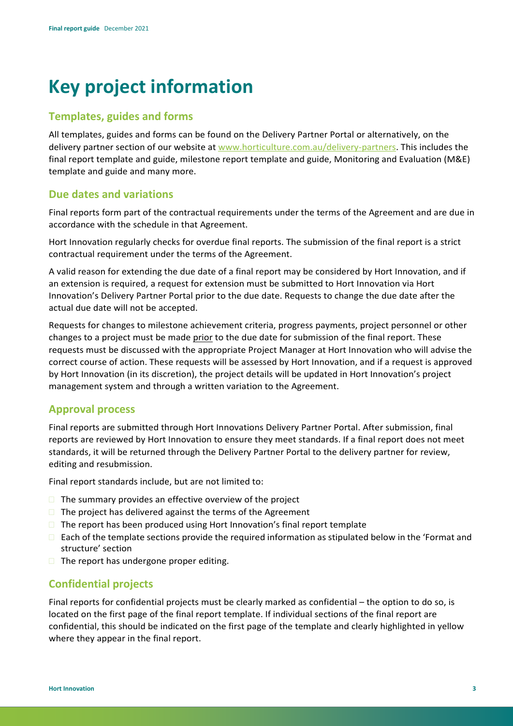# **Key project information**

## **Templates, guides and forms**

All templates, guides and forms can be found on the Delivery Partner Portal or alternatively, on the delivery partner section of our website at [www.horticulture.com.au/delivery-partners. T](http://www.horticulture.com.au/delivery-partners)his includes the final report template and guide, milestone report template and guide, Monitoring and Evaluation (M&E) template and guide and many more.

## **Due dates and variations**

Final reports form part of the contractual requirements under the terms of the Agreement and are due in accordance with the schedule in that Agreement.

Hort Innovation regularly checks for overdue final reports. The submission of the final report is a strict contractual requirement under the terms of the Agreement.

A valid reason for extending the due date of a final report may be considered by Hort Innovation, and if an extension is required, a request for extension must be submitted to Hort Innovation via Hort Innovation's Delivery Partner Portal prior to the due date. Requests to change the due date after the actual due date will not be accepted.

Requests for changes to milestone achievement criteria, progress payments, project personnel or other changes to a project must be made prior to the due date for submission of the final report. These requests must be discussed with the appropriate Project Manager at Hort Innovation who will advise the correct course of action. These requests will be assessed by Hort Innovation, and if a request is approved by Hort Innovation (in its discretion), the project details will be updated in Hort Innovation's project management system and through a written variation to the Agreement.

## **Approval process**

Final reports are submitted through Hort Innovations Delivery Partner Portal. After submission, final reports are reviewed by Hort Innovation to ensure they meet standards. If a final report does not meet standards, it will be returned through the Delivery Partner Portal to the delivery partner for review, editing and resubmission.

Final report standards include, but are not limited to:

- $\Box$  The summary provides an effective overview of the project
- $\Box$  The project has delivered against the terms of the Agreement
- $\Box$  The report has been produced using Hort Innovation's final report template
- Each of the template sections provide the required information as stipulated below in the 'Format and structure' section
- $\Box$  The report has undergone proper editing.

## **Confidential projects**

Final reports for confidential projects must be clearly marked as confidential – the option to do so, is located on the first page of the final report template. If individual sections of the final report are confidential, this should be indicated on the first page of the template and clearly highlighted in yellow where they appear in the final report.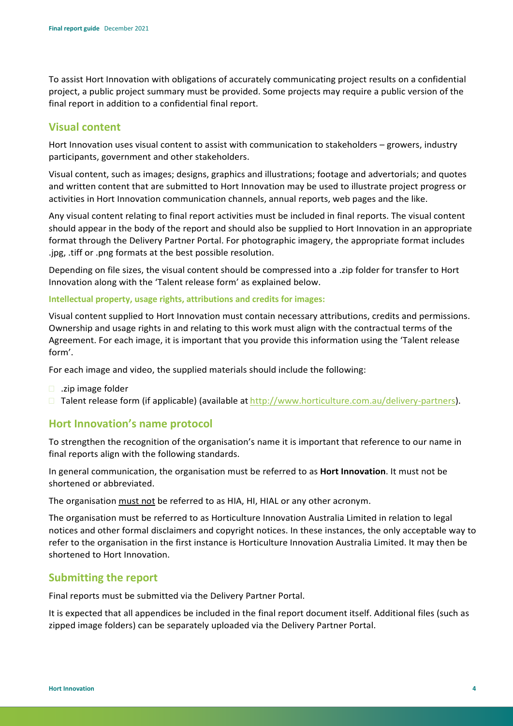To assist Hort Innovation with obligations of accurately communicating project results on a confidential project, a public project summary must be provided. Some projects may require a public version of the final report in addition to a confidential final report.

#### **Visual content**

Hort Innovation uses visual content to assist with communication to stakeholders – growers, industry participants, government and other stakeholders.

Visual content, such as images; designs, graphics and illustrations; footage and advertorials; and quotes and written content that are submitted to Hort Innovation may be used to illustrate project progress or activities in Hort Innovation communication channels, annual reports, web pages and the like.

Any visual content relating to final report activities must be included in final reports. The visual content should appear in the body of the report and should also be supplied to Hort Innovation in an appropriate format through the Delivery Partner Portal. For photographic imagery, the appropriate format includes .jpg, .tiff or .png formats at the best possible resolution.

Depending on file sizes, the visual content should be compressed into a .zip folder for transfer to Hort Innovation along with the 'Talent release form' as explained below.

#### **Intellectual property, usage rights, attributions and credits for images:**

Visual content supplied to Hort Innovation must contain necessary attributions, credits and permissions. Ownership and usage rights in and relating to this work must align with the contractual terms of the Agreement. For each image, it is important that you provide this information using the 'Talent release form'.

For each image and video, the supplied materials should include the following:

- $\Box$  .zip image folder
- □ Talent release form (if applicable) (available at [http://www.horticulture.com.au/delivery-partners\).](http://www.horticulture.com.au/delivery-partners))

## **Hort Innovation's name protocol**

To strengthen the recognition of the organisation's name it is important that reference to our name in final reports align with the following standards.

In general communication, the organisation must be referred to as **Hort Innovation**. It must not be shortened or abbreviated.

The organisation must not be referred to as HIA, HI, HIAL or any other acronym.

The organisation must be referred to as Horticulture Innovation Australia Limited in relation to legal notices and other formal disclaimers and copyright notices. In these instances, the only acceptable way to refer to the organisation in the first instance is Horticulture Innovation Australia Limited. It may then be shortened to Hort Innovation.

#### **Submitting the report**

Final reports must be submitted via the Delivery Partner Portal.

It is expected that all appendices be included in the final report document itself. Additional files (such as zipped image folders) can be separately uploaded via the Delivery Partner Portal.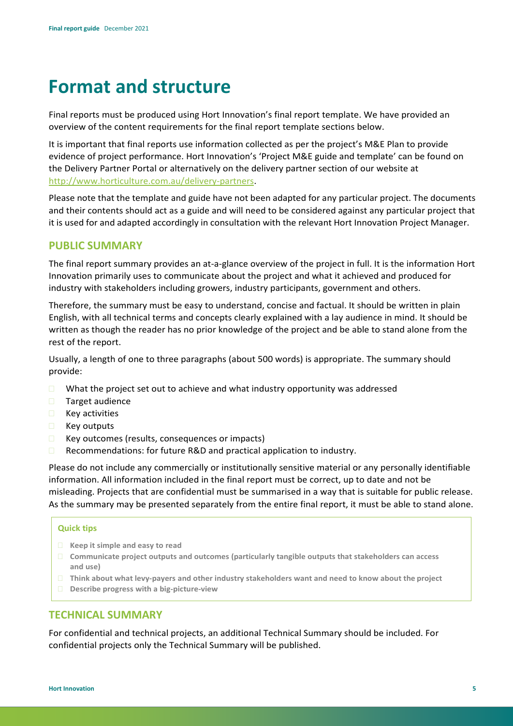# **Format and structure**

Final reports must be produced using Hort Innovation's final report template. We have provided an overview of the content requirements for the final report template sections below.

It is important that final reports use information collected as per the project's M&E Plan to provide evidence of project performance. Hort Innovation's 'Project M&E guide and template' can be found on the Delivery Partner Portal or alternatively on the delivery partner section of our website at [http://www.horticulture.com.au/delivery-partners.](http://www.horticulture.com.au/delivery-partners)

Please note that the template and guide have not been adapted for any particular project. The documents and their contents should act as a guide and will need to be considered against any particular project that it is used for and adapted accordingly in consultation with the relevant Hort Innovation Project Manager.

#### **PUBLIC SUMMARY**

The final report summary provides an at-a-glance overview of the project in full. It is the information Hort Innovation primarily uses to communicate about the project and what it achieved and produced for industry with stakeholders including growers, industry participants, government and others.

Therefore, the summary must be easy to understand, concise and factual. It should be written in plain English, with all technical terms and concepts clearly explained with a lay audience in mind. It should be written as though the reader has no prior knowledge of the project and be able to stand alone from the rest of the report.

Usually, a length of one to three paragraphs (about 500 words) is appropriate. The summary should provide:

- $\Box$  What the project set out to achieve and what industry opportunity was addressed
- **Target audience**
- $R$  Key activities
- **Key outputs**
- $\Box$  Key outcomes (results, consequences or impacts)
- □ Recommendations: for future R&D and practical application to industry.

Please do not include any commercially or institutionally sensitive material or any personally identifiable information. All information included in the final report must be correct, up to date and not be misleading. Projects that are confidential must be summarised in a way that is suitable for public release. As the summary may be presented separately from the entire final report, it must be able to stand alone.

#### **Quick tips**

- **Keep it simple and easy to read**
- **Communicate project outputs and outcomes (particularly tangible outputs that stakeholders can access and use)**
- **Think about what levy-payers and other industry stakeholders want and need to know about the project**
- **Describe progress with a big-picture-view**

#### **TECHNICAL SUMMARY**

For confidential and technical projects, an additional Technical Summary should be included. For confidential projects only the Technical Summary will be published.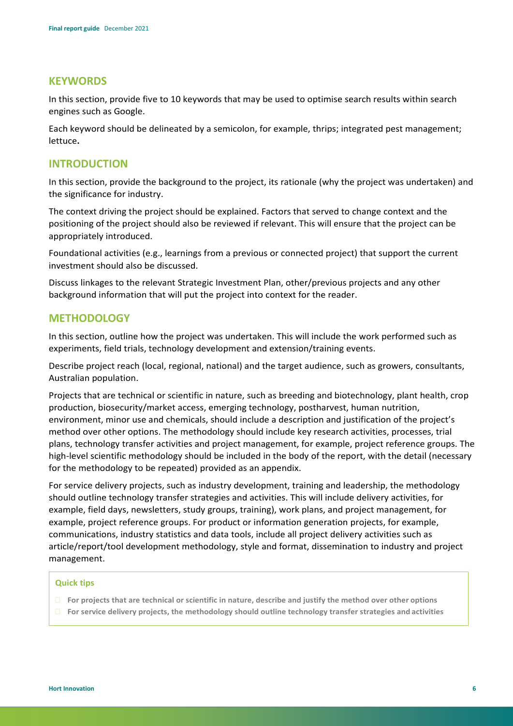#### **KEYWORDS**

In this section, provide five to 10 keywords that may be used to optimise search results within search engines such as Google.

Each keyword should be delineated by a semicolon, for example, thrips; integrated pest management; lettuce**.**

#### **INTRODUCTION**

In this section, provide the background to the project, its rationale (why the project was undertaken) and the significance for industry.

The context driving the project should be explained. Factors that served to change context and the positioning of the project should also be reviewed if relevant. This will ensure that the project can be appropriately introduced.

Foundational activities (e.g., learnings from a previous or connected project) that support the current investment should also be discussed.

Discuss linkages to the relevant Strategic Investment Plan, other/previous projects and any other background information that will put the project into context for the reader.

#### **METHODOLOGY**

In this section, outline how the project was undertaken. This will include the work performed such as experiments, field trials, technology development and extension/training events.

Describe project reach (local, regional, national) and the target audience, such as growers, consultants, Australian population.

Projects that are technical or scientific in nature, such as breeding and biotechnology, plant health, crop production, biosecurity/market access, emerging technology, postharvest, human nutrition, environment, minor use and chemicals, should include a description and justification of the project's method over other options. The methodology should include key research activities, processes, trial plans, technology transfer activities and project management, for example, project reference groups. The high-level scientific methodology should be included in the body of the report, with the detail (necessary for the methodology to be repeated) provided as an appendix.

For service delivery projects, such as industry development, training and leadership, the methodology should outline technology transfer strategies and activities. This will include delivery activities, for example, field days, newsletters, study groups, training), work plans, and project management, for example, project reference groups. For product or information generation projects, for example, communications, industry statistics and data tools, include all project delivery activities such as article/report/tool development methodology, style and format, dissemination to industry and project management.

#### **Quick tips**

- **For projects that are technical or scientific in nature, describe and justify the method over other options**
- **For service delivery projects, the methodology should outline technology transfer strategies and activities**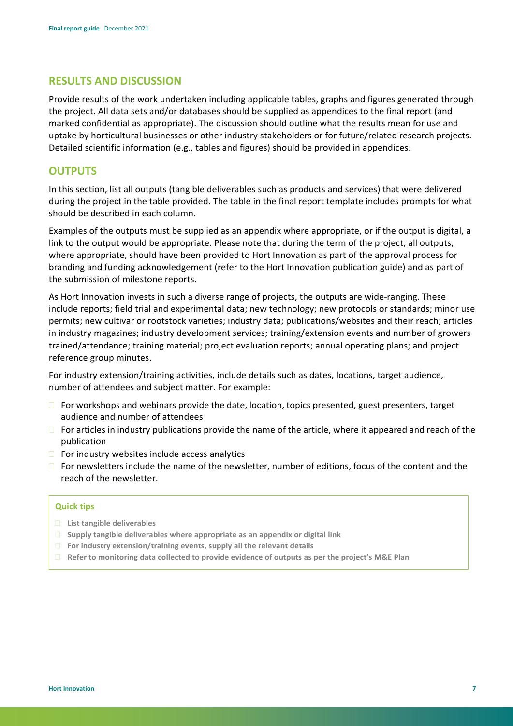#### **RESULTS AND DISCUSSION**

Provide results of the work undertaken including applicable tables, graphs and figures generated through the project. All data sets and/or databases should be supplied as appendices to the final report (and marked confidential as appropriate). The discussion should outline what the results mean for use and uptake by horticultural businesses or other industry stakeholders or for future/related research projects. Detailed scientific information (e.g., tables and figures) should be provided in appendices.

#### **OUTPUTS**

In this section, list all outputs (tangible deliverables such as products and services) that were delivered during the project in the table provided. The table in the final report template includes prompts for what should be described in each column.

Examples of the outputs must be supplied as an appendix where appropriate, or if the output is digital, a link to the output would be appropriate. Please note that during the term of the project, all outputs, where appropriate, should have been provided to Hort Innovation as part of the approval process for branding and funding acknowledgement (refer to the Hort Innovation publication guide) and as part of the submission of milestone reports.

As Hort Innovation invests in such a diverse range of projects, the outputs are wide-ranging. These include reports; field trial and experimental data; new technology; new protocols or standards; minor use permits; new cultivar or rootstock varieties; industry data; publications/websites and their reach; articles in industry magazines; industry development services; training/extension events and number of growers trained/attendance; training material; project evaluation reports; annual operating plans; and project reference group minutes.

For industry extension/training activities, include details such as dates, locations, target audience, number of attendees and subject matter. For example:

- $\Box$  For workshops and webinars provide the date, location, topics presented, guest presenters, target audience and number of attendees
- $\Box$  For articles in industry publications provide the name of the article, where it appeared and reach of the publication
- $\Box$  For industry websites include access analytics
- $\Box$  For newsletters include the name of the newsletter, number of editions, focus of the content and the reach of the newsletter.

#### **Quick tips**

- **List tangible deliverables**
- **Supply tangible deliverables where appropriate as an appendix or digital link**
- **For industry extension/training events, supply all the relevant details**
- **Refer to monitoring data collected to provide evidence of outputs as per the project's M&E Plan**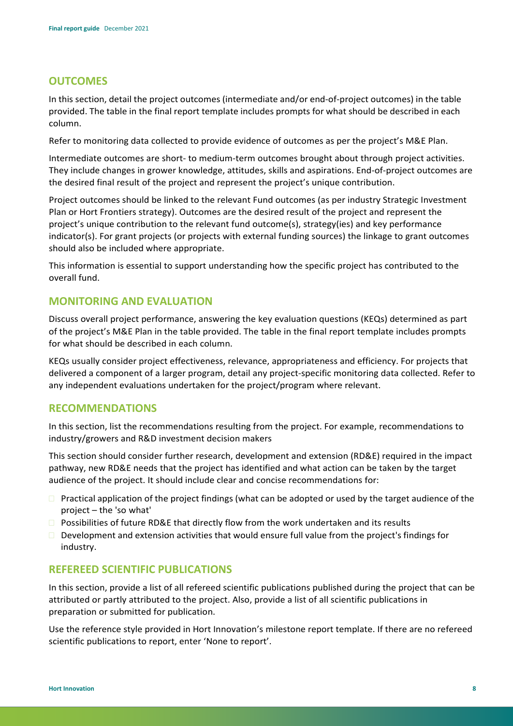#### **OUTCOMES**

In this section, detail the project outcomes (intermediate and/or end-of-project outcomes) in the table provided. The table in the final report template includes prompts for what should be described in each column.

Refer to monitoring data collected to provide evidence of outcomes as per the project's M&E Plan.

Intermediate outcomes are short- to medium-term outcomes brought about through project activities. They include changes in grower knowledge, attitudes, skills and aspirations. End-of-project outcomes are the desired final result of the project and represent the project's unique contribution.

Project outcomes should be linked to the relevant Fund outcomes (as per industry Strategic Investment Plan or Hort Frontiers strategy). Outcomes are the desired result of the project and represent the project's unique contribution to the relevant fund outcome(s), strategy(ies) and key performance indicator(s). For grant projects (or projects with external funding sources) the linkage to grant outcomes should also be included where appropriate.

This information is essential to support understanding how the specific project has contributed to the overall fund.

#### **MONITORING AND EVALUATION**

Discuss overall project performance, answering the key evaluation questions (KEQs) determined as part of the project's M&E Plan in the table provided. The table in the final report template includes prompts for what should be described in each column.

KEQs usually consider project effectiveness, relevance, appropriateness and efficiency. For projects that delivered a component of a larger program, detail any project-specific monitoring data collected. Refer to any independent evaluations undertaken for the project/program where relevant.

#### **RECOMMENDATIONS**

In this section, list the recommendations resulting from the project. For example, recommendations to industry/growers and R&D investment decision makers

This section should consider further research, development and extension (RD&E) required in the impact pathway, new RD&E needs that the project has identified and what action can be taken by the target audience of the project. It should include clear and concise recommendations for:

- $\Box$  Practical application of the project findings (what can be adopted or used by the target audience of the project – the 'so what'
- $\square$  Possibilities of future RD&E that directly flow from the work undertaken and its results
- $\Box$  Development and extension activities that would ensure full value from the project's findings for industry.

#### **REFEREED SCIENTIFIC PUBLICATIONS**

In this section, provide a list of all refereed scientific publications published during the project that can be attributed or partly attributed to the project. Also, provide a list of all scientific publications in preparation or submitted for publication.

Use the reference style provided in Hort Innovation's milestone report template. If there are no refereed scientific publications to report, enter 'None to report'.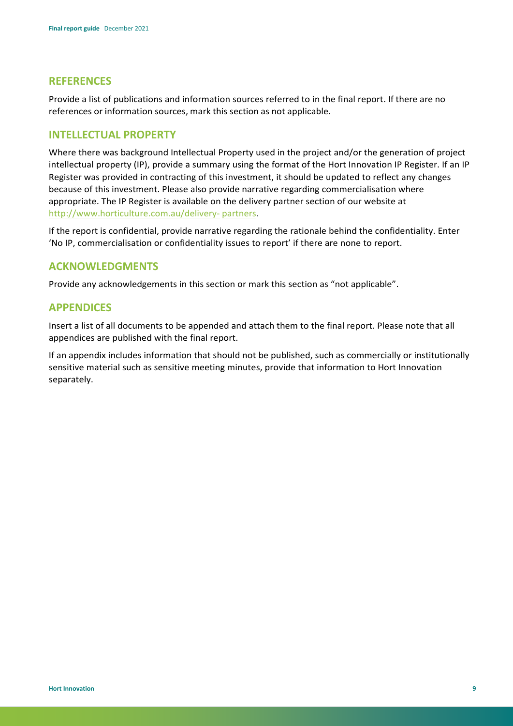#### **REFERENCES**

Provide a list of publications and information sources referred to in the final report. If there are no references or information sources, mark this section as not applicable.

#### **INTELLECTUAL PROPERTY**

Where there was background Intellectual Property used in the project and/or the generation of project intellectual property (IP), provide a summary using the format of the Hort Innovation IP Register. If an IP Register was provided in contracting of this investment, it should be updated to reflect any changes because of this investment. Please also provide narrative regarding commercialisation where appropriate. The IP Register is available on the delivery partner section of our website at <http://www.horticulture.com.au/delivery-> partners.

If the report is confidential, provide narrative regarding the rationale behind the confidentiality. Enter 'No IP, commercialisation or confidentiality issues to report' if there are none to report.

#### **ACKNOWLEDGMENTS**

Provide any acknowledgements in this section or mark this section as "not applicable".

#### **APPENDICES**

Insert a list of all documents to be appended and attach them to the final report. Please note that all appendices are published with the final report.

If an appendix includes information that should not be published, such as commercially or institutionally sensitive material such as sensitive meeting minutes, provide that information to Hort Innovation separately.